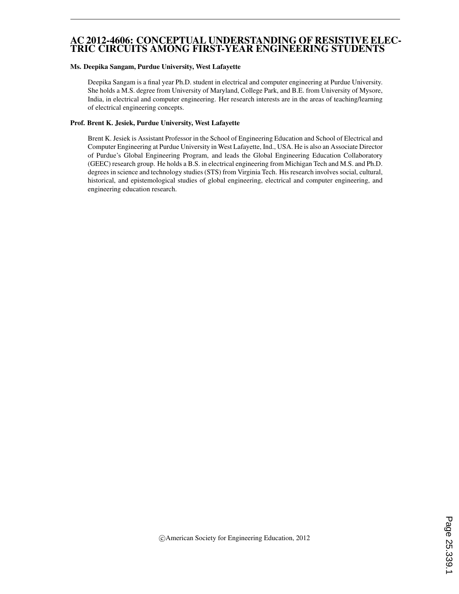#### AC 2012-4606: CONCEPTUAL UNDERSTANDING OF RESISTIVE ELEC-TRIC CIRCUITS AMONG FIRST-YEAR ENGINEERING STUDENTS

#### Ms. Deepika Sangam, Purdue University, West Lafayette

Deepika Sangam is a final year Ph.D. student in electrical and computer engineering at Purdue University. She holds a M.S. degree from University of Maryland, College Park, and B.E. from University of Mysore, India, in electrical and computer engineering. Her research interests are in the areas of teaching/learning of electrical engineering concepts.

#### Prof. Brent K. Jesiek, Purdue University, West Lafayette

Brent K. Jesiek is Assistant Professor in the School of Engineering Education and School of Electrical and Computer Engineering at Purdue University in West Lafayette, Ind., USA. He is also an Associate Director of Purdue's Global Engineering Program, and leads the Global Engineering Education Collaboratory (GEEC) research group. He holds a B.S. in electrical engineering from Michigan Tech and M.S. and Ph.D. degrees in science and technology studies (STS) from Virginia Tech. His research involves social, cultural, historical, and epistemological studies of global engineering, electrical and computer engineering, and engineering education research.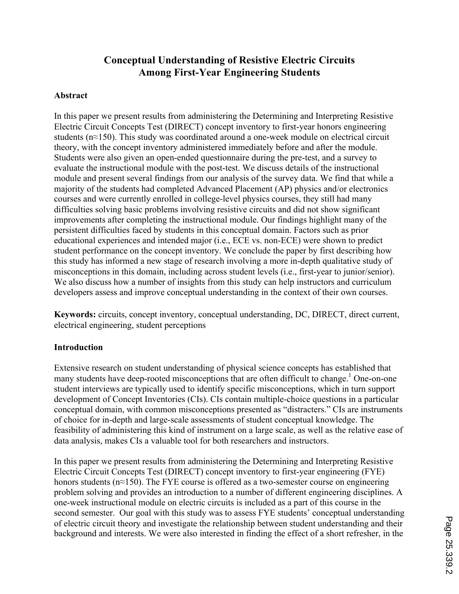# **Conceptual Understanding of Resistive Electric Circuits Among First-Year Engineering Students**

### **Abstract**

In this paper we present results from administering the Determining and Interpreting Resistive Electric Circuit Concepts Test (DIRECT) concept inventory to first-year honors engineering students (n≈150). This study was coordinated around a one-week module on electrical circuit theory, with the concept inventory administered immediately before and after the module. Students were also given an open-ended questionnaire during the pre-test, and a survey to evaluate the instructional module with the post-test. We discuss details of the instructional module and present several findings from our analysis of the survey data. We find that while a majority of the students had completed Advanced Placement (AP) physics and/or electronics courses and were currently enrolled in college-level physics courses, they still had many difficulties solving basic problems involving resistive circuits and did not show significant improvements after completing the instructional module. Our findings highlight many of the persistent difficulties faced by students in this conceptual domain. Factors such as prior educational experiences and intended major (i.e., ECE vs. non-ECE) were shown to predict student performance on the concept inventory. We conclude the paper by first describing how this study has informed a new stage of research involving a more in-depth qualitative study of misconceptions in this domain, including across student levels (i.e., first-year to junior/senior). We also discuss how a number of insights from this study can help instructors and curriculum developers assess and improve conceptual understanding in the context of their own courses.

**Keywords:** circuits, concept inventory, conceptual understanding, DC, DIRECT, direct current, electrical engineering, student perceptions

#### **Introduction**

Extensive research on student understanding of physical science concepts has established that many students have deep-rooted misconceptions that are often difficult to change.<sup>1</sup> One-on-one student interviews are typically used to identify specific misconceptions, which in turn support development of Concept Inventories (CIs). CIs contain multiple-choice questions in a particular conceptual domain, with common misconceptions presented as "distracters." CIs are instruments of choice for in-depth and large-scale assessments of student conceptual knowledge. The feasibility of administering this kind of instrument on a large scale, as well as the relative ease of data analysis, makes CIs a valuable tool for both researchers and instructors.

In this paper we present results from administering the Determining and Interpreting Resistive Electric Circuit Concepts Test (DIRECT) concept inventory to first-year engineering (FYE) honors students (n≈150). The FYE course is offered as a two-semester course on engineering problem solving and provides an introduction to a number of different engineering disciplines. A one-week instructional module on electric circuits is included as a part of this course in the second semester. Our goal with this study was to assess FYE students' conceptual understanding of electric circuit theory and investigate the relationship between student understanding and their background and interests. We were also interested in finding the effect of a short refresher, in the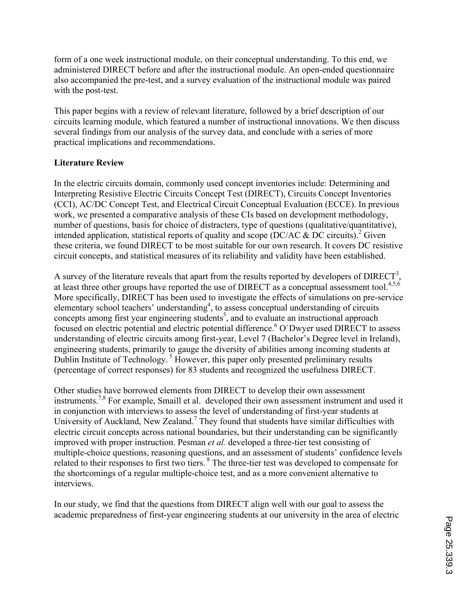form of a one week instructional module, on their conceptual understanding. To this end, we administered DIRECT before and after the instructional module. An open-ended questionnaire also accompanied the pre-test, and a survey evaluation of the instructional module was paired with the post-test.

This paper begins with a review of relevant literature, followed by a brief description of our circuits learning module, which featured a number of instructional innovations. We then discuss several findings from our analysis of the survey data, and conclude with a series of more practical implications and recommendations.

# **Literature Review**

In the electric circuits domain, commonly used concept inventories include: Determining and Interpreting Resistive Electric Circuits Concept Test (DIRECT), Circuits Concept Inventories (CCI), AC/DC Concept Test, and Electrical Circuit Conceptual Evaluation (ECCE). In previous work, we presented a comparative analysis of these CIs based on development methodology, number of questions, basis for choice of distracters, type of questions (qualitative/quantitative), intended application, statistical reports of quality and scope (DC/AC  $\&$  DC circuits).<sup>2</sup> Given these criteria, we found DIRECT to be most suitable for our own research. It covers DC resistive circuit concepts, and statistical measures of its reliability and validity have been established.

A survey of the literature reveals that apart from the results reported by developers of  $DIRECT^3$ , at least three other groups have reported the use of DIRECT as a conceptual assessment tool.<sup>4,5,6</sup> More specifically, DIRECT has been used to investigate the effects of simulations on pre-service elementary school teachers' understanding<sup>4</sup>, to assess conceptual understanding of circuits  $concepts among first year engineering students<sup>5</sup>, and to evaluate an instructional approach.$ focused on electric potential and electric potential difference.<sup>6</sup> O'Dwyer used DIRECT to assess understanding of electric circuits among first-year, Level 7 (Bachelor's Degree level in Ireland), engineering students, primarily to gauge the diversity of abilities among incoming students at Dublin Institute of Technology.<sup>5</sup> However, this paper only presented preliminary results (percentage of correct responses) for 83 students and recognized the usefulness DIRECT.

Other studies have borrowed elements from DIRECT to develop their own assessment instruments.<sup>7,8</sup> For example, Smaill et al. developed their own assessment instrument and used it in conjunction with interviews to assess the level of understanding of first-year students at University of Auckland, New Zealand.<sup>7</sup> They found that students have similar difficulties with electric circuit concepts across national boundaries, but their understanding can be significantly improved with proper instruction. Pesman *et al.* developed a three-tier test consisting of multiple-choice questions, reasoning questions, and an assessment of students' confidence levels related to their responses to first two tiers. <sup>8</sup> The three-tier test was developed to compensate for the shortcomings of a regular multiple-choice test, and as a more convenient alternative to interviews.

In our study, we find that the questions from DIRECT align well with our goal to assess the academic preparedness of first-year engineering students at our university in the area of electric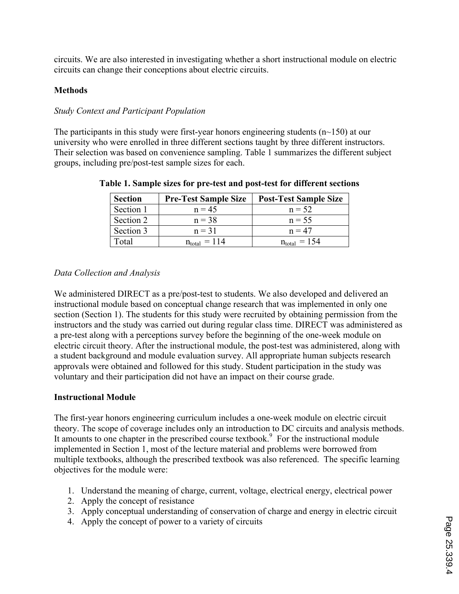circuits. We are also interested in investigating whether a short instructional module on electric circuits can change their conceptions about electric circuits.

# **Methods**

# *Study Context and Participant Population*

The participants in this study were first-year honors engineering students ( $n$  $\sim$ 150) at our university who were enrolled in three different sections taught by three different instructors. Their selection was based on convenience sampling. Table 1 summarizes the different subject groups, including pre/post-test sample sizes for each.

| <b>Section</b> | <b>Pre-Test Sample Size</b> | <b>Post-Test Sample Size</b>  |
|----------------|-----------------------------|-------------------------------|
| Section 1      | $n = 45$                    | $n = 52$                      |
| Section 2      | $n = 38$                    | $n = 55$                      |
| Section 3      | $n = 31$                    | $n = 47$                      |
| Total          | $n_{\text{total}} = 114$    | $= 154$<br>$n_{\text{total}}$ |

**Table 1. Sample sizes for pre-test and post-test for different sections**

# *Data Collection and Analysis*

We administered DIRECT as a pre/post-test to students. We also developed and delivered an instructional module based on conceptual change research that was implemented in only one section (Section 1). The students for this study were recruited by obtaining permission from the instructors and the study was carried out during regular class time. DIRECT was administered as a pre-test along with a perceptions survey before the beginning of the one-week module on electric circuit theory. After the instructional module, the post-test was administered, along with a student background and module evaluation survey. All appropriate human subjects research approvals were obtained and followed for this study. Student participation in the study was voluntary and their participation did not have an impact on their course grade.

# **Instructional Module**

The first-year honors engineering curriculum includes a one-week module on electric circuit theory. The scope of coverage includes only an introduction to DC circuits and analysis methods. It amounts to one chapter in the prescribed course textbook. 9 For the instructional module implemented in Section 1, most of the lecture material and problems were borrowed from multiple textbooks, although the prescribed textbook was also referenced. The specific learning objectives for the module were:

- 1. Understand the meaning of charge, current, voltage, electrical energy, electrical power
- 2. Apply the concept of resistance
- 3. Apply conceptual understanding of conservation of charge and energy in electric circuit
- 4. Apply the concept of power to a variety of circuits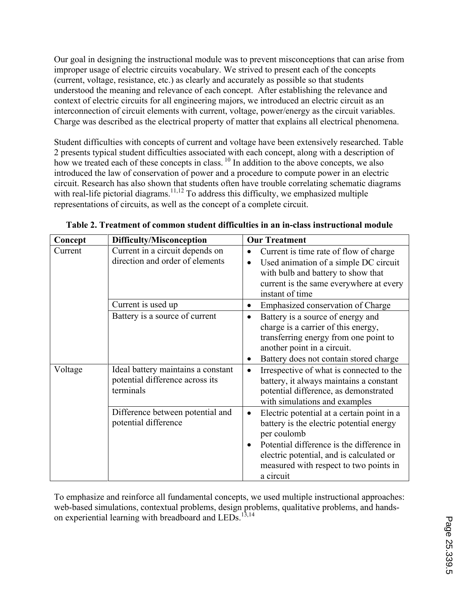Our goal in designing the instructional module was to prevent misconceptions that can arise from improper usage of electric circuits vocabulary. We strived to present each of the concepts (current, voltage, resistance, etc.) as clearly and accurately as possible so that students understood the meaning and relevance of each concept. After establishing the relevance and context of electric circuits for all engineering majors, we introduced an electric circuit as an interconnection of circuit elements with current, voltage, power/energy as the circuit variables. Charge was described as the electrical property of matter that explains all electrical phenomena.

Student difficulties with concepts of current and voltage have been extensively researched. Table 2 presents typical student difficulties associated with each concept, along with a description of how we treated each of these concepts in class. <sup>10</sup> In addition to the above concepts, we also introduced the law of conservation of power and a procedure to compute power in an electric circuit. Research has also shown that students often have trouble correlating schematic diagrams with real-life pictorial diagrams.<sup>11,12</sup> To address this difficulty, we emphasized multiple representations of circuits, as well as the concept of a complete circuit.

| Concept | <b>Difficulty/Misconception</b>                                                    | <b>Our Treatment</b>                                                                                                                                                                                                                                                            |
|---------|------------------------------------------------------------------------------------|---------------------------------------------------------------------------------------------------------------------------------------------------------------------------------------------------------------------------------------------------------------------------------|
| Current | Current in a circuit depends on<br>direction and order of elements                 | Current is time rate of flow of charge<br>$\bullet$<br>Used animation of a simple DC circuit<br>$\bullet$<br>with bulb and battery to show that<br>current is the same everywhere at every<br>instant of time                                                                   |
|         | Current is used up                                                                 | Emphasized conservation of Charge<br>$\bullet$                                                                                                                                                                                                                                  |
|         | Battery is a source of current                                                     | Battery is a source of energy and<br>$\bullet$<br>charge is a carrier of this energy,<br>transferring energy from one point to<br>another point in a circuit.<br>Battery does not contain stored charge<br>$\bullet$                                                            |
| Voltage | Ideal battery maintains a constant<br>potential difference across its<br>terminals | Irrespective of what is connected to the<br>battery, it always maintains a constant<br>potential difference, as demonstrated<br>with simulations and examples                                                                                                                   |
|         | Difference between potential and<br>potential difference                           | Electric potential at a certain point in a<br>$\bullet$<br>battery is the electric potential energy<br>per coulomb<br>Potential difference is the difference in<br>$\bullet$<br>electric potential, and is calculated or<br>measured with respect to two points in<br>a circuit |

|  | Table 2. Treatment of common student difficulties in an in-class instructional module |
|--|---------------------------------------------------------------------------------------|
|--|---------------------------------------------------------------------------------------|

To emphasize and reinforce all fundamental concepts, we used multiple instructional approaches: web-based simulations, contextual problems, design problems, qualitative problems, and handson experiential learning with breadboard and LEDs.<sup>13,14</sup>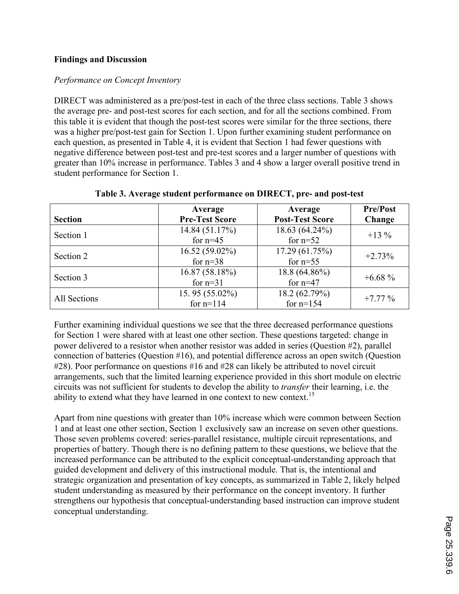# **Findings and Discussion**

### *Performance on Concept Inventory*

DIRECT was administered as a pre/post-test in each of the three class sections. Table 3 shows the average pre- and post-test scores for each section, and for all the sections combined. From this table it is evident that though the post-test scores were similar for the three sections, there was a higher pre/post-test gain for Section 1. Upon further examining student performance on each question, as presented in Table 4, it is evident that Section 1 had fewer questions with negative difference between post-test and pre-test scores and a larger number of questions with greater than 10% increase in performance. Tables 3 and 4 show a larger overall positive trend in student performance for Section 1.

| <b>Section</b> | Average<br><b>Pre-Test Score</b> | Average<br><b>Post-Test Score</b> | <b>Pre/Post</b><br>Change |
|----------------|----------------------------------|-----------------------------------|---------------------------|
| Section 1      | 14.84 (51.17%)<br>for $n=45$     | 18.63 (64.24%)<br>for $n=52$      | $+13\%$                   |
| Section 2      | $16.52(59.02\%)$<br>for $n=38$   | 17.29(61.75%)<br>for $n=55$       | $+2.73%$                  |
| Section 3      | 16.87(58.18%)<br>for $n=31$      | 18.8 (64.86%)<br>for $n=47$       | $+6.68\%$                 |
| All Sections   | 15.95 $(55.02\%)$<br>for $n=114$ | 18.2 (62.79%)<br>for $n=154$      | $+7.77%$                  |

#### **Table 3. Average student performance on DIRECT, pre- and post-test**

Further examining individual questions we see that the three decreased performance questions for Section 1 were shared with at least one other section. These questions targeted: change in power delivered to a resistor when another resistor was added in series (Question #2), parallel connection of batteries (Question #16), and potential difference across an open switch (Question #28). Poor performance on questions #16 and #28 can likely be attributed to novel circuit arrangements, such that the limited learning experience provided in this short module on electric circuits was not sufficient for students to develop the ability to *transfer* their learning, i.e. the ability to extend what they have learned in one context to new context.<sup>15</sup>

Apart from nine questions with greater than 10% increase which were common between Section 1 and at least one other section, Section 1 exclusively saw an increase on seven other questions. Those seven problems covered: series-parallel resistance, multiple circuit representations, and properties of battery. Though there is no defining pattern to these questions, we believe that the increased performance can be attributed to the explicit conceptual-understanding approach that guided development and delivery of this instructional module. That is, the intentional and strategic organization and presentation of key concepts, as summarized in Table 2, likely helped student understanding as measured by their performance on the concept inventory. It further strengthens our hypothesis that conceptual-understanding based instruction can improve student conceptual understanding.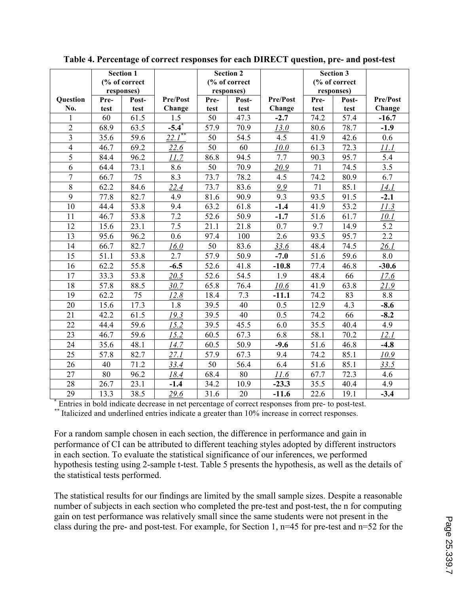|                         |      | <b>Section 1</b> |                        |      | <b>Section 2</b> |          |      | <b>Section 3</b> |          |
|-------------------------|------|------------------|------------------------|------|------------------|----------|------|------------------|----------|
|                         |      | (% of correct    |                        |      | (% of correct    |          |      | (% of correct    |          |
|                         |      | responses)       |                        |      | responses)       |          |      | responses)       |          |
| <b>Question</b>         | Pre- | Post-            | Pre/Post               | Pre- | Post-            | Pre/Post | Pre- | Post-            | Pre/Post |
| No.                     | test | test             | Change                 | test | test             | Change   | test | test             | Change   |
| 1                       | 60   | 61.5             | 1.5                    | 50   | 47.3             | $-2.7$   | 74.2 | 57.4             | $-16.7$  |
| $\overline{2}$          | 68.9 | 63.5             | $-5.4^{*}$             | 57.9 | 70.9             | 13.0     | 80.6 | 78.7             | $-1.9$   |
| $\overline{\mathbf{3}}$ | 35.6 | 59.6             | $\overline{22.1}^{**}$ | 50   | 54.5             | 4.5      | 41.9 | 42.6             | 0.6      |
| $\overline{4}$          | 46.7 | 69.2             | 22.6                   | 50   | 60               | 10.0     | 61.3 | 72.3             | 11.1     |
| $\overline{5}$          | 84.4 | 96.2             | 11.7                   | 86.8 | 94.5             | 7.7      | 90.3 | 95.7             | 5.4      |
| 6                       | 64.4 | 73.1             | 8.6                    | 50   | 70.9             | 20.9     | 71   | 74.5             | 3.5      |
| $\overline{7}$          | 66.7 | 75               | 8.3                    | 73.7 | 78.2             | 4.5      | 74.2 | 80.9             | 6.7      |
| 8                       | 62.2 | 84.6             | 22.4                   | 73.7 | 83.6             | 9.9      | 71   | 85.1             | 14.1     |
| 9                       | 77.8 | 82.7             | 4.9                    | 81.6 | 90.9             | 9.3      | 93.5 | 91.5             | $-2.1$   |
| 10                      | 44.4 | 53.8             | 9.4                    | 63.2 | 61.8             | $-1.4$   | 41.9 | 53.2             | 11.3     |
| 11                      | 46.7 | 53.8             | 7.2                    | 52.6 | 50.9             | $-1.7$   | 51.6 | 61.7             | 10.1     |
| 12                      | 15.6 | 23.1             | 7.5                    | 21.1 | 21.8             | 0.7      | 9.7  | 14.9             | 5.2      |
| 13                      | 95.6 | 96.2             | 0.6                    | 97.4 | 100              | 2.6      | 93.5 | 95.7             | 2.2      |
| 14                      | 66.7 | 82.7             | 16.0                   | 50   | 83.6             | 33.6     | 48.4 | 74.5             | 26.1     |
| 15                      | 51.1 | 53.8             | 2.7                    | 57.9 | 50.9             | $-7.0$   | 51.6 | 59.6             | 8.0      |
| 16                      | 62.2 | 55.8             | $-6.5$                 | 52.6 | 41.8             | $-10.8$  | 77.4 | 46.8             | $-30.6$  |
| 17                      | 33.3 | 53.8             | 20.5                   | 52.6 | 54.5             | 1.9      | 48.4 | 66               | 17.6     |
| 18                      | 57.8 | 88.5             | 30.7                   | 65.8 | 76.4             | 10.6     | 41.9 | 63.8             | 21.9     |
| 19                      | 62.2 | 75               | 12.8                   | 18.4 | 7.3              | $-11.1$  | 74.2 | 83               | 8.8      |
| 20                      | 15.6 | 17.3             | 1.8                    | 39.5 | 40               | 0.5      | 12.9 | 4.3              | $-8.6$   |
| 21                      | 42.2 | 61.5             | 19.3                   | 39.5 | 40               | 0.5      | 74.2 | 66               | $-8.2$   |
| 22                      | 44.4 | 59.6             | 15.2                   | 39.5 | 45.5             | 6.0      | 35.5 | 40.4             | 4.9      |
| 23                      | 46.7 | 59.6             | 15.2                   | 60.5 | 67.3             | 6.8      | 58.1 | 70.2             | 12.1     |
| 24                      | 35.6 | 48.1             | 14.7                   | 60.5 | 50.9             | $-9.6$   | 51.6 | 46.8             | $-4.8$   |
| 25                      | 57.8 | 82.7             | 27.1                   | 57.9 | 67.3             | 9.4      | 74.2 | 85.1             | 10.9     |
| 26                      | 40   | 71.2             | 33.4                   | 50   | 56.4             | 6.4      | 51.6 | 85.1             | 33.5     |
| 27                      | 80   | 96.2             | 18.4                   | 68.4 | 80               | 11.6     | 67.7 | 72.3             | 4.6      |
| 28                      | 26.7 | 23.1             | $-1.4$                 | 34.2 | 10.9             | $-23.3$  | 35.5 | 40.4             | 4.9      |
| 29                      | 13.3 | 38.5             | 29.6                   | 31.6 | 20               | $-11.6$  | 22.6 | 19.1             | $-3.4$   |

**Table 4. Percentage of correct responses for each DIRECT question, pre- and post-test**

**\*** Entries in bold indicate decrease in net percentage of correct responses from pre- to post-test. *\*\** Italicized and underlined entries indicate a greater than 10% increase in correct responses.

For a random sample chosen in each section, the difference in performance and gain in performance of CI can be attributed to different teaching styles adopted by different instructors in each section. To evaluate the statistical significance of our inferences, we performed hypothesis testing using 2-sample t-test. Table 5 presents the hypothesis, as well as the details of the statistical tests performed.

The statistical results for our findings are limited by the small sample sizes. Despite a reasonable number of subjects in each section who completed the pre-test and post-test, the n for computing gain on test performance was relatively small since the same students were not present in the class during the pre- and post-test. For example, for Section 1, n=45 for pre-test and n=52 for the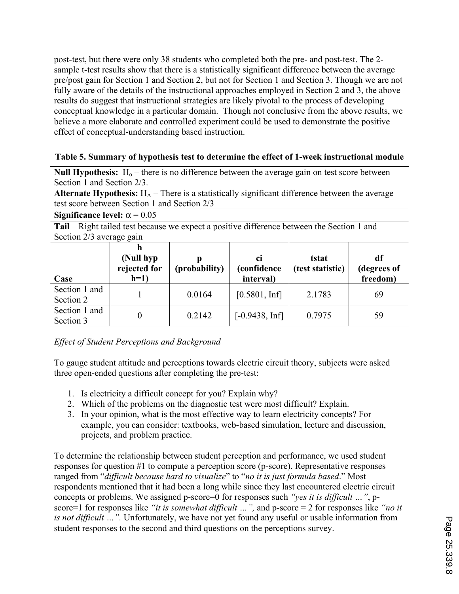post-test, but there were only 38 students who completed both the pre- and post-test. The 2 sample t-test results show that there is a statistically significant difference between the average pre/post gain for Section 1 and Section 2, but not for Section 1 and Section 3. Though we are not fully aware of the details of the instructional approaches employed in Section 2 and 3, the above results do suggest that instructional strategies are likely pivotal to the process of developing conceptual knowledge in a particular domain. Though not conclusive from the above results, we believe a more elaborate and controlled experiment could be used to demonstrate the positive effect of conceptual-understanding based instruction.

### **Table 5. Summary of hypothesis test to determine the effect of 1-week instructional module**

**Null Hypothesis:**  $H_0$  – there is no difference between the average gain on test score between Section 1 and Section 2/3.

| <b>Alternate Hypothesis:</b> $H_A$ – There is a statistically significant difference between the average |  |
|----------------------------------------------------------------------------------------------------------|--|
| test score between Section 1 and Section 2/3                                                             |  |

| Significance level: $\alpha$ = 0.05<br>Section 2/3 average gain |  | <b>Tail</b> – Right tailed test because we expect a positive difference between the Section 1 and |
|-----------------------------------------------------------------|--|---------------------------------------------------------------------------------------------------|

| Case                       | (Null hyp)<br>rejected for<br>$h=1)$ | (probability) | ci<br><i>(confidence)</i><br>interval) | tstat<br>(test statistic) | df<br>(degrees of<br>freedom) |
|----------------------------|--------------------------------------|---------------|----------------------------------------|---------------------------|-------------------------------|
| Section 1 and<br>Section 2 |                                      | 0.0164        | $[0.5801, \text{Inf}]$                 | 2.1783                    | 69                            |
| Section 1 and<br>Section 3 |                                      | 0.2142        | $[-0.9438, \text{Inf}]$                | 0.7975                    | 59                            |

# *Effect of Student Perceptions and Background*

To gauge student attitude and perceptions towards electric circuit theory, subjects were asked three open-ended questions after completing the pre-test:

- 1. Is electricity a difficult concept for you? Explain why?
- 2. Which of the problems on the diagnostic test were most difficult? Explain.
- 3. In your opinion, what is the most effective way to learn electricity concepts? For example, you can consider: textbooks, web-based simulation, lecture and discussion, projects, and problem practice.

To determine the relationship between student perception and performance, we used student responses for question #1 to compute a perception score (p-score). Representative responses ranged from "*difficult because hard to visualize*" to "*no it is just formula based*." Most respondents mentioned that it had been a long while since they last encountered electric circuit concepts or problems. We assigned p-score=0 for responses such *"yes it is difficult …"*, pscore=1 for responses like *"it is somewhat difficult …",* and p-score = 2 for responses like *"no it is not difficult …".* Unfortunately, we have not yet found any useful or usable information from student responses to the second and third questions on the perceptions survey.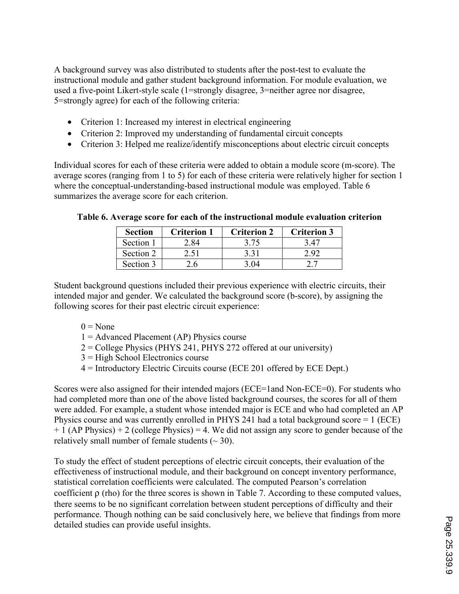A background survey was also distributed to students after the post-test to evaluate the instructional module and gather student background information. For module evaluation, we used a five-point Likert-style scale (1=strongly disagree, 3=neither agree nor disagree, 5=strongly agree) for each of the following criteria:

- Criterion 1: Increased my interest in electrical engineering
- Criterion 2: Improved my understanding of fundamental circuit concepts
- Criterion 3: Helped me realize/identify misconceptions about electric circuit concepts

Individual scores for each of these criteria were added to obtain a module score (m-score). The average scores (ranging from 1 to 5) for each of these criteria were relatively higher for section 1 where the conceptual-understanding-based instructional module was employed. Table 6 summarizes the average score for each criterion.

| <b>Section</b> | <b>Criterion 1</b> | <b>Criterion 2</b> | <b>Criterion 3</b> |
|----------------|--------------------|--------------------|--------------------|
| Section 1      | 2 84               | 3.75               | 3 47               |
| Section 2      | 2.51               | 3 3 1              | 292                |
| Section 3      | . 6                | 3 በ4               |                    |

#### **Table 6. Average score for each of the instructional module evaluation criterion**

Student background questions included their previous experience with electric circuits, their intended major and gender. We calculated the background score (b-score), by assigning the following scores for their past electric circuit experience:

- $0 = None$
- $1 =$  Advanced Placement (AP) Physics course
- 2 = College Physics (PHYS 241, PHYS 272 offered at our university)
- 3 = High School Electronics course
- 4 = Introductory Electric Circuits course (ECE 201 offered by ECE Dept.)

Scores were also assigned for their intended majors (ECE=1and Non-ECE=0). For students who had completed more than one of the above listed background courses, the scores for all of them were added. For example, a student whose intended major is ECE and who had completed an AP Physics course and was currently enrolled in PHYS 241 had a total background score = 1 (ECE)  $+ 1$  (AP Physics)  $+ 2$  (college Physics) = 4. We did not assign any score to gender because of the relatively small number of female students  $(\sim 30)$ .

To study the effect of student perceptions of electric circuit concepts, their evaluation of the effectiveness of instructional module, and their background on concept inventory performance, statistical correlation coefficients were calculated. The computed Pearson's correlation coefficient  $\rho$  (rho) for the three scores is shown in Table 7. According to these computed values, there seems to be no significant correlation between student perceptions of difficulty and their performance. Though nothing can be said conclusively here, we believe that findings from more detailed studies can provide useful insights.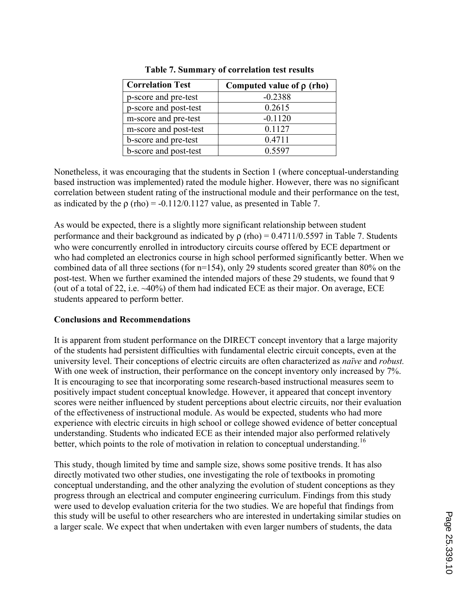| <b>Correlation Test</b> | Computed value of $\rho$ (rho) |
|-------------------------|--------------------------------|
| p-score and pre-test    | $-0.2388$                      |
| p-score and post-test   | 0.2615                         |
| m-score and pre-test    | $-0.1120$                      |
| m-score and post-test   | 0.1127                         |
| b-score and pre-test    | 0.4711                         |
| b-score and post-test   | 0.5597                         |

|  |  | <b>Table 7. Summary of correlation test results</b> |  |  |  |  |
|--|--|-----------------------------------------------------|--|--|--|--|
|--|--|-----------------------------------------------------|--|--|--|--|

Nonetheless, it was encouraging that the students in Section 1 (where conceptual-understanding based instruction was implemented) rated the module higher. However, there was no significant correlation between student rating of the instructional module and their performance on the test, as indicated by the  $\rho$  (rho) = -0.112/0.1127 value, as presented in Table 7.

As would be expected, there is a slightly more significant relationship between student performance and their background as indicated by  $\rho$  (rho) = 0.4711/0.5597 in Table 7. Students who were concurrently enrolled in introductory circuits course offered by ECE department or who had completed an electronics course in high school performed significantly better. When we combined data of all three sections (for n=154), only 29 students scored greater than 80% on the post-test. When we further examined the intended majors of these 29 students, we found that 9 (out of a total of 22, i.e. ~40%) of them had indicated ECE as their major. On average, ECE students appeared to perform better.

# **Conclusions and Recommendations**

It is apparent from student performance on the DIRECT concept inventory that a large majority of the students had persistent difficulties with fundamental electric circuit concepts, even at the university level. Their conceptions of electric circuits are often characterized as *naïve* and *robust.* With one week of instruction, their performance on the concept inventory only increased by 7%. It is encouraging to see that incorporating some research-based instructional measures seem to positively impact student conceptual knowledge. However, it appeared that concept inventory scores were neither influenced by student perceptions about electric circuits, nor their evaluation of the effectiveness of instructional module. As would be expected, students who had more experience with electric circuits in high school or college showed evidence of better conceptual understanding. Students who indicated ECE as their intended major also performed relatively better, which points to the role of motivation in relation to conceptual understanding.<sup>16</sup>

This study, though limited by time and sample size, shows some positive trends. It has also directly motivated two other studies, one investigating the role of textbooks in promoting conceptual understanding, and the other analyzing the evolution of student conceptions as they progress through an electrical and computer engineering curriculum. Findings from this study were used to develop evaluation criteria for the two studies. We are hopeful that findings from this study will be useful to other researchers who are interested in undertaking similar studies on a larger scale. We expect that when undertaken with even larger numbers of students, the data